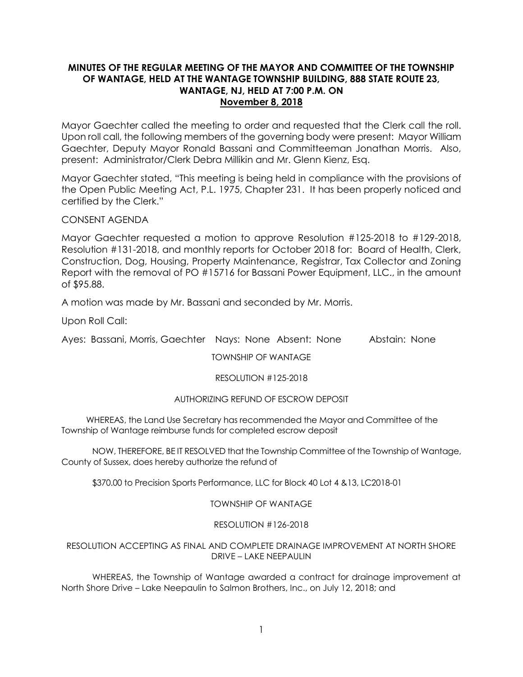# **MINUTES OF THE REGULAR MEETING OF THE MAYOR AND COMMITTEE OF THE TOWNSHIP OF WANTAGE, HELD AT THE WANTAGE TOWNSHIP BUILDING, 888 STATE ROUTE 23, WANTAGE, NJ, HELD AT 7:00 P.M. ON November 8, 2018**

Mayor Gaechter called the meeting to order and requested that the Clerk call the roll. Upon roll call, the following members of the governing body were present: Mayor William Gaechter, Deputy Mayor Ronald Bassani and Committeeman Jonathan Morris. Also, present: Administrator/Clerk Debra Millikin and Mr. Glenn Kienz, Esq.

Mayor Gaechter stated, "This meeting is being held in compliance with the provisions of the Open Public Meeting Act, P.L. 1975, Chapter 231. It has been properly noticed and certified by the Clerk."

# CONSENT AGENDA

Mayor Gaechter requested a motion to approve Resolution #125-2018 to #129-2018, Resolution #131-2018, and monthly reports for October 2018 for: Board of Health, Clerk, Construction, Dog, Housing, Property Maintenance, Registrar, Tax Collector and Zoning Report with the removal of PO #15716 for Bassani Power Equipment, LLC., in the amount of \$95.88.

A motion was made by Mr. Bassani and seconded by Mr. Morris.

Upon Roll Call:

Ayes: Bassani, Morris, Gaechter Nays: None Absent: None Abstain: None

TOWNSHIP OF WANTAGE

# RESOLUTION #125-2018

# AUTHORIZING REFUND OF ESCROW DEPOSIT

 WHEREAS, the Land Use Secretary has recommended the Mayor and Committee of the Township of Wantage reimburse funds for completed escrow deposit

NOW, THEREFORE, BE IT RESOLVED that the Township Committee of the Township of Wantage, County of Sussex, does hereby authorize the refund of

\$370.00 to Precision Sports Performance, LLC for Block 40 Lot 4 &13, LC2018-01

# TOWNSHIP OF WANTAGE

# RESOLUTION #126-2018

# RESOLUTION ACCEPTING AS FINAL AND COMPLETE DRAINAGE IMPROVEMENT AT NORTH SHORE DRIVE – LAKE NEEPAULIN

WHEREAS, the Township of Wantage awarded a contract for drainage improvement at North Shore Drive – Lake Neepaulin to Salmon Brothers, Inc., on July 12, 2018; and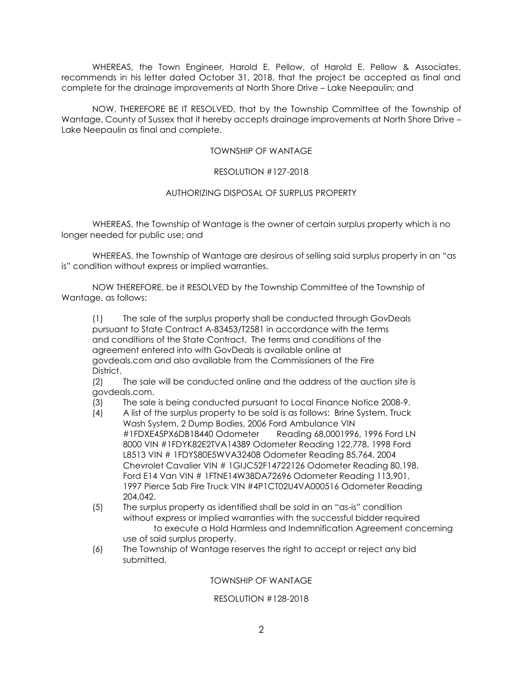WHEREAS, the Town Engineer, Harold E. Pellow, of Harold E. Pellow & Associates, recommends in his letter dated October 31, 2018, that the project be accepted as final and complete for the drainage improvements at North Shore Drive – Lake Neepaulin; and

NOW, THEREFORE BE IT RESOLVED, that by the Township Committee of the Township of Wantage, County of Sussex that it hereby accepts drainage improvements at North Shore Drive – Lake Neepaulin as final and complete.

# TOWNSHIP OF WANTAGE

# RESOLUTION #127-2018

### AUTHORIZING DISPOSAL OF SURPLUS PROPERTY

WHEREAS, the Township of Wantage is the owner of certain surplus property which is no longer needed for public use; and

WHEREAS, the Township of Wantage are desirous of selling said surplus property in an "as is" condition without express or implied warranties.

NOW THEREFORE, be it RESOLVED by the Township Committee of the Township of Wantage, as follows:

(1) The sale of the surplus property shall be conducted through GovDeals pursuant to State Contract A-83453/T2581 in accordance with the terms and conditions of the State Contract. The terms and conditions of the agreement entered into with GovDeals is available online at govdeals.com and also available from the Commissioners of the Fire District.

(2) The sale will be conducted online and the address of the auction site is govdeals.com.

(3) The sale is being conducted pursuant to Local Finance Notice 2008-9.

- (4) A list of the surplus property to be sold is as follows: Brine System, Truck Wash System, 2 Dump Bodies, 2006 Ford Ambulance VIN #1FDXE45PX6DB18440 Odometer Reading 68,0001996, 1996 Ford LN 8000 VIN #1FDYK82E2TVA14389 Odometer Reading 122,778, 1998 Ford L8513 VIN # 1FDYS80E5WVA32408 Odometer Reading 85,764, 2004 Chevrolet Cavalier VIN # 1GIJC52F14722126 Odometer Reading 80,198, Ford E14 Van VIN # 1FTNE14W38DA72696 Odometer Reading 113,901, 1997 Pierce Sab Fire Truck VIN #4P1CT02U4VA000516 Odometer Reading 204,042.
- (5) The surplus property as identified shall be sold in an "as-is" condition without express or implied warranties with the successful bidder required to execute a Hold Harmless and Indemnification Agreement concerning use of said surplus property.
- (6) The Township of Wantage reserves the right to accept or reject any bid submitted.

# TOWNSHIP OF WANTAGE

### RESOLUTION #128-2018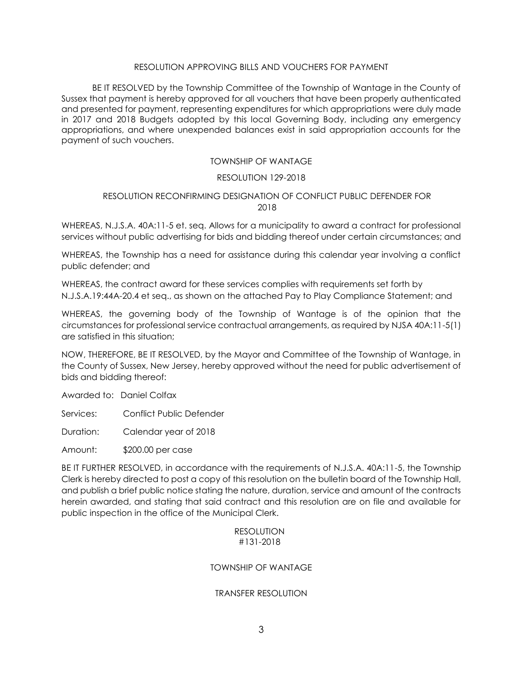### RESOLUTION APPROVING BILLS AND VOUCHERS FOR PAYMENT

BE IT RESOLVED by the Township Committee of the Township of Wantage in the County of Sussex that payment is hereby approved for all vouchers that have been properly authenticated and presented for payment, representing expenditures for which appropriations were duly made in 2017 and 2018 Budgets adopted by this local Governing Body, including any emergency appropriations, and where unexpended balances exist in said appropriation accounts for the payment of such vouchers.

# TOWNSHIP OF WANTAGE

### RESOLUTION 129-2018

# RESOLUTION RECONFIRMING DESIGNATION OF CONFLICT PUBLIC DEFENDER FOR 2018

WHEREAS, N.J.S.A. 40A:11-5 et. seq. Allows for a municipality to award a contract for professional services without public advertising for bids and bidding thereof under certain circumstances; and

WHEREAS, the Township has a need for assistance during this calendar year involving a conflict public defender; and

WHEREAS, the contract award for these services complies with requirements set forth by N.J.S.A.19:44A-20.4 et seq., as shown on the attached Pay to Play Compliance Statement; and

WHEREAS, the governing body of the Township of Wantage is of the opinion that the circumstances for professional service contractual arrangements, as required by NJSA 40A:11-5(1) are satisfied in this situation;

NOW, THEREFORE, BE IT RESOLVED, by the Mayor and Committee of the Township of Wantage, in the County of Sussex, New Jersey, hereby approved without the need for public advertisement of bids and bidding thereof:

Awarded to: Daniel Colfax

Services: Conflict Public Defender

Duration: Calendar year of 2018

Amount: \$200.00 per case

BE IT FURTHER RESOLVED, in accordance with the requirements of N.J.S.A. 40A:11-5, the Township Clerk is hereby directed to post a copy of this resolution on the bulletin board of the Township Hall, and publish a brief public notice stating the nature, duration, service and amount of the contracts herein awarded, and stating that said contract and this resolution are on file and available for public inspection in the office of the Municipal Clerk.

### RESOLUTION #131-2018

# TOWNSHIP OF WANTAGE

# TRANSFER RESOLUTION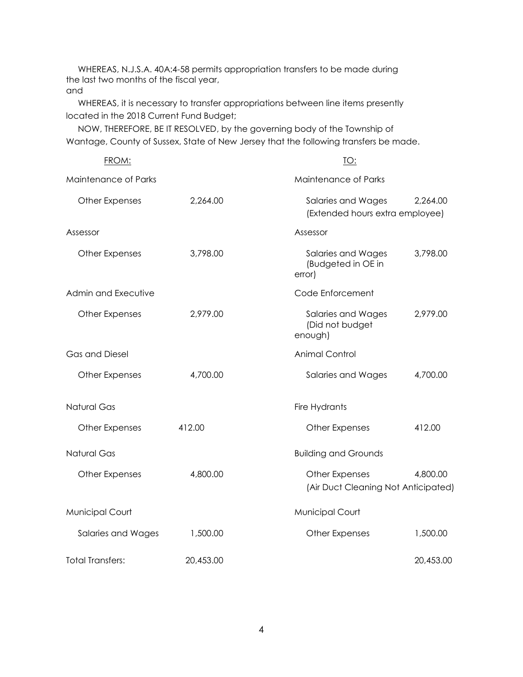WHEREAS, N.J.S.A. 40A:4-58 permits appropriation transfers to be made during the last two months of the fiscal year, and

 WHEREAS, it is necessary to transfer appropriations between line items presently located in the 2018 Current Fund Budget;

 NOW, THEREFORE, BE IT RESOLVED, by the governing body of the Township of Wantage, County of Sussex, State of New Jersey that the following transfers be made.

| FROM:                   |           | <u>TO:</u>                                            |           |
|-------------------------|-----------|-------------------------------------------------------|-----------|
| Maintenance of Parks    |           | Maintenance of Parks                                  |           |
| <b>Other Expenses</b>   | 2,264.00  | Salaries and Wages<br>(Extended hours extra employee) | 2,264.00  |
| Assessor                |           | Assessor                                              |           |
| <b>Other Expenses</b>   | 3,798.00  | Salaries and Wages<br>(Budgeted in OE in<br>error)    | 3,798.00  |
| Admin and Executive     |           | Code Enforcement                                      |           |
| <b>Other Expenses</b>   | 2,979.00  | Salaries and Wages<br>(Did not budget<br>enough)      | 2,979.00  |
| Gas and Diesel          |           | <b>Animal Control</b>                                 |           |
| <b>Other Expenses</b>   | 4,700.00  | Salaries and Wages                                    | 4,700.00  |
| <b>Natural Gas</b>      |           | Fire Hydrants                                         |           |
| Other Expenses          | 412.00    | <b>Other Expenses</b>                                 | 412.00    |
| <b>Natural Gas</b>      |           | <b>Building and Grounds</b>                           |           |
| Other Expenses          | 4,800.00  | Other Expenses<br>(Air Duct Cleaning Not Anticipated) | 4,800.00  |
| <b>Municipal Court</b>  |           | <b>Municipal Court</b>                                |           |
| Salaries and Wages      | 1,500.00  | Other Expenses                                        | 1,500.00  |
| <b>Total Transfers:</b> | 20,453.00 |                                                       | 20,453.00 |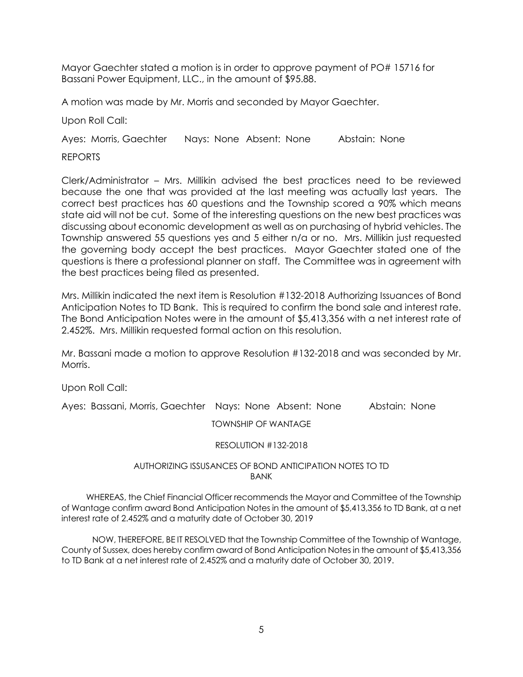Mayor Gaechter stated a motion is in order to approve payment of PO# 15716 for Bassani Power Equipment, LLC., in the amount of \$95.88.

A motion was made by Mr. Morris and seconded by Mayor Gaechter.

Upon Roll Call:

Ayes: Morris, Gaechter Nays: None Absent: None Abstain: None

REPORTS

Clerk/Administrator – Mrs. Millikin advised the best practices need to be reviewed because the one that was provided at the last meeting was actually last years. The correct best practices has 60 questions and the Township scored a 90% which means state aid will not be cut. Some of the interesting questions on the new best practices was discussing about economic development as well as on purchasing of hybrid vehicles. The Township answered 55 questions yes and 5 either n/a or no. Mrs. Millikin just requested the governing body accept the best practices. Mayor Gaechter stated one of the questions is there a professional planner on staff. The Committee was in agreement with the best practices being filed as presented.

Mrs. Millikin indicated the next item is Resolution #132-2018 Authorizing Issuances of Bond Anticipation Notes to TD Bank. This is required to confirm the bond sale and interest rate. The Bond Anticipation Notes were in the amount of \$5,413,356 with a net interest rate of 2.452%. Mrs. Millikin requested formal action on this resolution.

Mr. Bassani made a motion to approve Resolution #132-2018 and was seconded by Mr. Morris.

Upon Roll Call:

Ayes: Bassani, Morris, Gaechter Nays: None Absent: None Abstain: None

TOWNSHIP OF WANTAGE

# RESOLUTION #132-2018

# AUTHORIZING ISSUSANCES OF BOND ANTICIPATION NOTES TO TD BANK

 WHEREAS, the Chief Financial Officer recommends the Mayor and Committee of the Township of Wantage confirm award Bond Anticipation Notes in the amount of \$5,413,356 to TD Bank, at a net interest rate of 2.452% and a maturity date of October 30, 2019

NOW, THEREFORE, BE IT RESOLVED that the Township Committee of the Township of Wantage, County of Sussex, does hereby confirm award of Bond Anticipation Notes in the amount of \$5,413,356 to TD Bank at a net interest rate of 2.452% and a maturity date of October 30, 2019.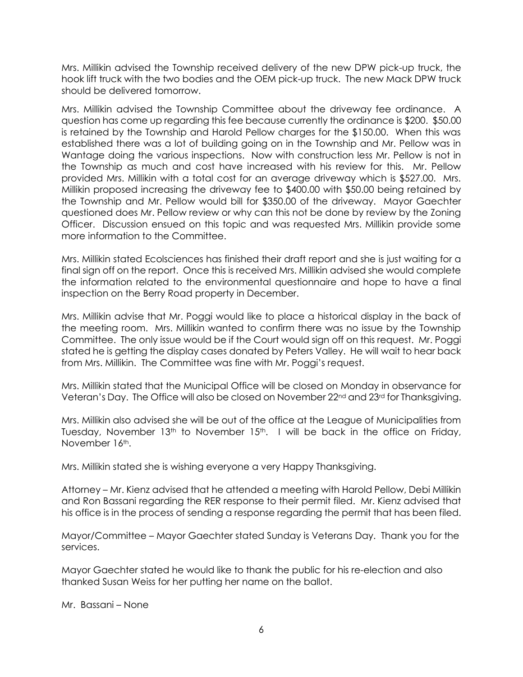Mrs. Millikin advised the Township received delivery of the new DPW pick-up truck, the hook lift truck with the two bodies and the OEM pick-up truck. The new Mack DPW truck should be delivered tomorrow.

Mrs. Millikin advised the Township Committee about the driveway fee ordinance. A question has come up regarding this fee because currently the ordinance is \$200. \$50.00 is retained by the Township and Harold Pellow charges for the \$150.00. When this was established there was a lot of building going on in the Township and Mr. Pellow was in Wantage doing the various inspections. Now with construction less Mr. Pellow is not in the Township as much and cost have increased with his review for this. Mr. Pellow provided Mrs. Millikin with a total cost for an average driveway which is \$527.00. Mrs. Millikin proposed increasing the driveway fee to \$400.00 with \$50.00 being retained by the Township and Mr. Pellow would bill for \$350.00 of the driveway. Mayor Gaechter questioned does Mr. Pellow review or why can this not be done by review by the Zoning Officer. Discussion ensued on this topic and was requested Mrs. Millikin provide some more information to the Committee.

Mrs. Millikin stated Ecolsciences has finished their draft report and she is just waiting for a final sign off on the report. Once this is received Mrs. Millikin advised she would complete the information related to the environmental questionnaire and hope to have a final inspection on the Berry Road property in December.

Mrs. Millikin advise that Mr. Poggi would like to place a historical display in the back of the meeting room. Mrs. Millikin wanted to confirm there was no issue by the Township Committee. The only issue would be if the Court would sign off on this request. Mr. Poggi stated he is getting the display cases donated by Peters Valley. He will wait to hear back from Mrs. Millikin. The Committee was fine with Mr. Poggi's request.

Mrs. Millikin stated that the Municipal Office will be closed on Monday in observance for Veteran's Day. The Office will also be closed on November 22nd and 23rd for Thanksgiving.

Mrs. Millikin also advised she will be out of the office at the League of Municipalities from Tuesday, November 13<sup>th</sup> to November 15<sup>th</sup>. I will be back in the office on Friday, November 16th.

Mrs. Millikin stated she is wishing everyone a very Happy Thanksgiving.

Attorney – Mr. Kienz advised that he attended a meeting with Harold Pellow, Debi Millikin and Ron Bassani regarding the RER response to their permit filed. Mr. Kienz advised that his office is in the process of sending a response regarding the permit that has been filed.

Mayor/Committee – Mayor Gaechter stated Sunday is Veterans Day. Thank you for the services.

Mayor Gaechter stated he would like to thank the public for his re-election and also thanked Susan Weiss for her putting her name on the ballot.

Mr. Bassani – None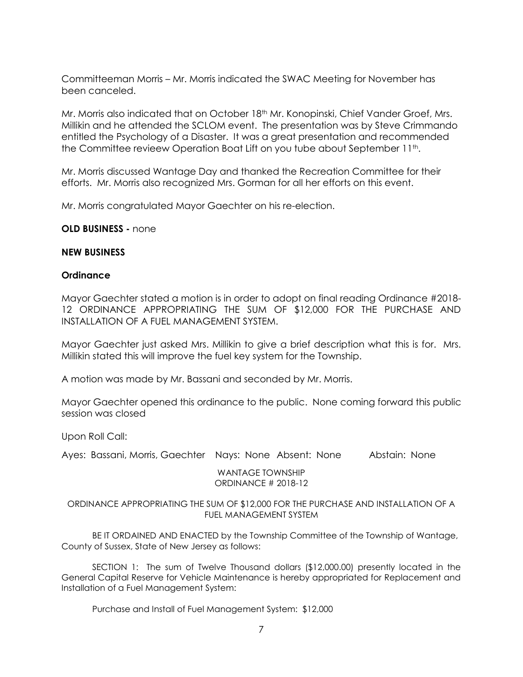Committeeman Morris – Mr. Morris indicated the SWAC Meeting for November has been canceled.

Mr. Morris also indicated that on October 18<sup>th</sup> Mr. Konopinski, Chief Vander Groef, Mrs. Millikin and he attended the SCLOM event. The presentation was by Steve Crimmando entitled the Psychology of a Disaster. It was a great presentation and recommended the Committee revieew Operation Boat Lift on you tube about September 11th.

Mr. Morris discussed Wantage Day and thanked the Recreation Committee for their efforts. Mr. Morris also recognized Mrs. Gorman for all her efforts on this event.

Mr. Morris congratulated Mayor Gaechter on his re-election.

**OLD BUSINESS -** none

# **NEW BUSINESS**

# **Ordinance**

Mayor Gaechter stated a motion is in order to adopt on final reading Ordinance #2018- 12 ORDINANCE APPROPRIATING THE SUM OF \$12,000 FOR THE PURCHASE AND INSTALLATION OF A FUEL MANAGEMENT SYSTEM.

Mayor Gaechter just asked Mrs. Millikin to give a brief description what this is for. Mrs. Millikin stated this will improve the fuel key system for the Township.

A motion was made by Mr. Bassani and seconded by Mr. Morris.

Mayor Gaechter opened this ordinance to the public. None coming forward this public session was closed

Upon Roll Call:

Ayes: Bassani, Morris, Gaechter Nays: None Absent: None Abstain: None

WANTAGE TOWNSHIP ORDINANCE # 2018-12

# ORDINANCE APPROPRIATING THE SUM OF \$12,000 FOR THE PURCHASE AND INSTALLATION OF A FUEL MANAGEMENT SYSTEM

BE IT ORDAINED AND ENACTED by the Township Committee of the Township of Wantage, County of Sussex, State of New Jersey as follows:

SECTION 1: The sum of Twelve Thousand dollars (\$12,000.00) presently located in the General Capital Reserve for Vehicle Maintenance is hereby appropriated for Replacement and Installation of a Fuel Management System:

Purchase and Install of Fuel Management System: \$12,000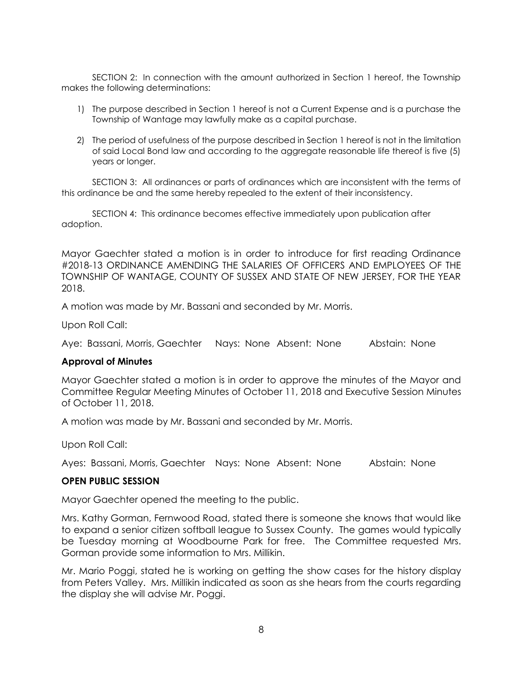SECTION 2: In connection with the amount authorized in Section 1 hereof, the Township makes the following determinations:

- 1) The purpose described in Section 1 hereof is not a Current Expense and is a purchase the Township of Wantage may lawfully make as a capital purchase.
- 2) The period of usefulness of the purpose described in Section 1 hereof is not in the limitation of said Local Bond law and according to the aggregate reasonable life thereof is five (5) years or longer.

SECTION 3: All ordinances or parts of ordinances which are inconsistent with the terms of this ordinance be and the same hereby repealed to the extent of their inconsistency.

SECTION 4: This ordinance becomes effective immediately upon publication after adoption.

Mayor Gaechter stated a motion is in order to introduce for first reading Ordinance #2018-13 ORDINANCE AMENDING THE SALARIES OF OFFICERS AND EMPLOYEES OF THE TOWNSHIP OF WANTAGE, COUNTY OF SUSSEX AND STATE OF NEW JERSEY, FOR THE YEAR 2018.

A motion was made by Mr. Bassani and seconded by Mr. Morris.

Upon Roll Call:

Aye: Bassani, Morris, Gaechter Nays: None Absent: None Abstain: None

# **Approval of Minutes**

Mayor Gaechter stated a motion is in order to approve the minutes of the Mayor and Committee Regular Meeting Minutes of October 11, 2018 and Executive Session Minutes of October 11, 2018.

A motion was made by Mr. Bassani and seconded by Mr. Morris.

Upon Roll Call:

Ayes: Bassani, Morris, Gaechter Nays: None Absent: None Abstain: None

# **OPEN PUBLIC SESSION**

Mayor Gaechter opened the meeting to the public.

Mrs. Kathy Gorman, Fernwood Road, stated there is someone she knows that would like to expand a senior citizen softball league to Sussex County. The games would typically be Tuesday morning at Woodbourne Park for free. The Committee requested Mrs. Gorman provide some information to Mrs. Millikin.

Mr. Mario Poggi, stated he is working on getting the show cases for the history display from Peters Valley. Mrs. Millikin indicated as soon as she hears from the courts regarding the display she will advise Mr. Poggi.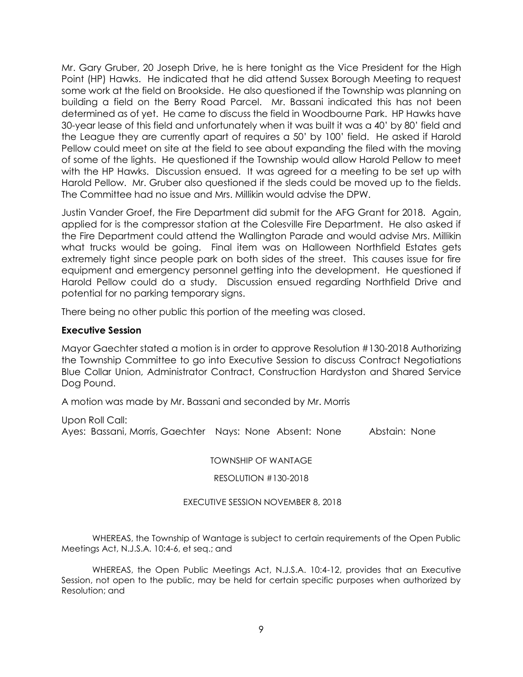Mr. Gary Gruber, 20 Joseph Drive, he is here tonight as the Vice President for the High Point (HP) Hawks. He indicated that he did attend Sussex Borough Meeting to request some work at the field on Brookside. He also questioned if the Township was planning on building a field on the Berry Road Parcel. Mr. Bassani indicated this has not been determined as of yet. He came to discuss the field in Woodbourne Park. HP Hawks have 30-year lease of this field and unfortunately when it was built it was a 40' by 80' field and the League they are currently apart of requires a 50' by 100' field. He asked if Harold Pellow could meet on site at the field to see about expanding the filed with the moving of some of the lights. He questioned if the Township would allow Harold Pellow to meet with the HP Hawks. Discussion ensued. It was agreed for a meeting to be set up with Harold Pellow. Mr. Gruber also questioned if the sleds could be moved up to the fields. The Committee had no issue and Mrs. Millikin would advise the DPW.

Justin Vander Groef, the Fire Department did submit for the AFG Grant for 2018. Again, applied for is the compressor station at the Colesville Fire Department. He also asked if the Fire Department could attend the Wallington Parade and would advise Mrs. Millikin what trucks would be going. Final item was on Halloween Northfield Estates gets extremely tight since people park on both sides of the street. This causes issue for fire equipment and emergency personnel getting into the development. He questioned if Harold Pellow could do a study. Discussion ensued regarding Northfield Drive and potential for no parking temporary signs.

There being no other public this portion of the meeting was closed.

# **Executive Session**

Mayor Gaechter stated a motion is in order to approve Resolution #130-2018 Authorizing the Township Committee to go into Executive Session to discuss Contract Negotiations Blue Collar Union, Administrator Contract, Construction Hardyston and Shared Service Dog Pound.

A motion was made by Mr. Bassani and seconded by Mr. Morris

Upon Roll Call: Ayes: Bassani, Morris, Gaechter Nays: None Absent: None Abstain: None

TOWNSHIP OF WANTAGE

RESOLUTION #130-2018

# EXECUTIVE SESSION NOVEMBER 8, 2018

WHEREAS, the Township of Wantage is subject to certain requirements of the Open Public Meetings Act, N.J.S.A. 10:4-6, et seq.; and

WHEREAS, the Open Public Meetings Act, N.J.S.A. 10:4-12, provides that an Executive Session, not open to the public, may be held for certain specific purposes when authorized by Resolution; and